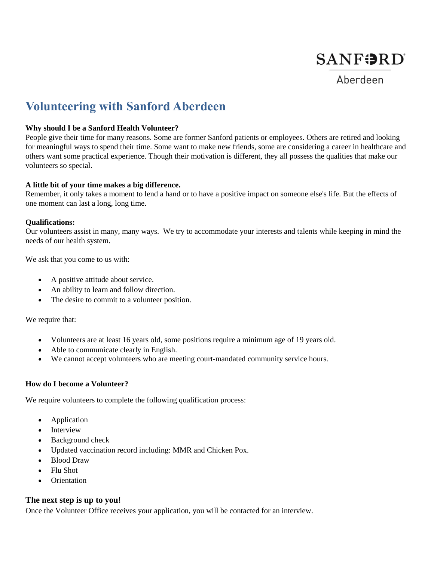

Aberdeen

# **Volunteering with Sanford Aberdeen**

### **Why should I be a Sanford Health Volunteer?**

People give their time for many reasons. Some are former Sanford patients or employees. Others are retired and looking for meaningful ways to spend their time. Some want to make new friends, some are considering a career in healthcare and others want some practical experience. Though their motivation is different, they all possess the qualities that make our volunteers so special.

### **A little bit of your time makes a big difference.**

Remember, it only takes a moment to lend a hand or to have a positive impact on someone else's life. But the effects of one moment can last a long, long time.

### **Qualifications:**

Our volunteers assist in many, many ways. We try to accommodate your interests and talents while keeping in mind the needs of our health system.

We ask that you come to us with:

- A positive attitude about service.
- An ability to learn and follow direction.
- The desire to commit to a volunteer position.

We require that:

- Volunteers are at least 16 years old, some positions require a minimum age of 19 years old.
- Able to communicate clearly in English.
- We cannot accept volunteers who are meeting court-mandated community service hours.

## **How do I become a Volunteer?**

We require volunteers to complete the following qualification process:

- Application
- Interview
- Background check
- Updated vaccination record including: MMR and Chicken Pox.
- Blood Draw
- Flu Shot
- **Orientation**

## **The next step is up to you!**

Once the Volunteer Office receives your application, you will be contacted for an interview.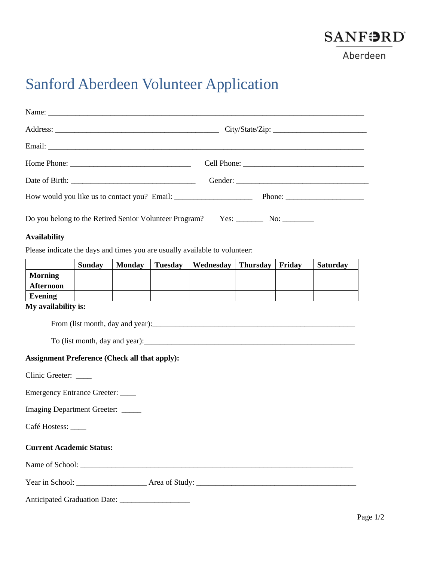

Aberdeen

# Sanford Aberdeen Volunteer Application

| Do you belong to the Retired Senior Volunteer Program? Yes: __________ No: _________ |  |
|--------------------------------------------------------------------------------------|--|

### **Availability**

Please indicate the days and times you are usually available to volunteer:

|                  | <b>Sunday</b> | <b>Monday</b> | <b>Tuesday</b> | Wednesday | <b>Thursday</b> | Friday | <b>Saturday</b> |
|------------------|---------------|---------------|----------------|-----------|-----------------|--------|-----------------|
| <b>Morning</b>   |               |               |                |           |                 |        |                 |
| <b>Afternoon</b> |               |               |                |           |                 |        |                 |
| Evening          |               |               |                |           |                 |        |                 |

### **My availability is:**

From (list month, day and year):\_\_\_\_\_\_\_\_\_\_\_\_\_\_\_\_\_\_\_\_\_\_\_\_\_\_\_\_\_\_\_\_\_\_\_\_\_\_\_\_\_\_\_\_\_\_\_\_\_\_\_\_

 $To$  (list month, day and year): $\Box$ 

### **Assignment Preference (Check all that apply):**

Clinic Greeter: \_\_\_\_

Emergency Entrance Greeter: \_\_\_\_

Imaging Department Greeter: \_\_\_\_\_

Café Hostess: \_\_\_\_\_

### **Current Academic Status:**

Name of School: \_\_\_\_\_\_\_\_\_\_\_\_\_\_\_\_\_\_\_\_\_\_\_\_\_\_\_\_\_\_\_\_\_\_\_\_\_\_\_\_\_\_\_\_\_\_\_\_\_\_\_\_\_\_\_\_\_\_\_\_\_\_\_\_\_\_\_\_\_\_

| Year in School: | Area of Study |
|-----------------|---------------|
|                 |               |

Anticipated Graduation Date: